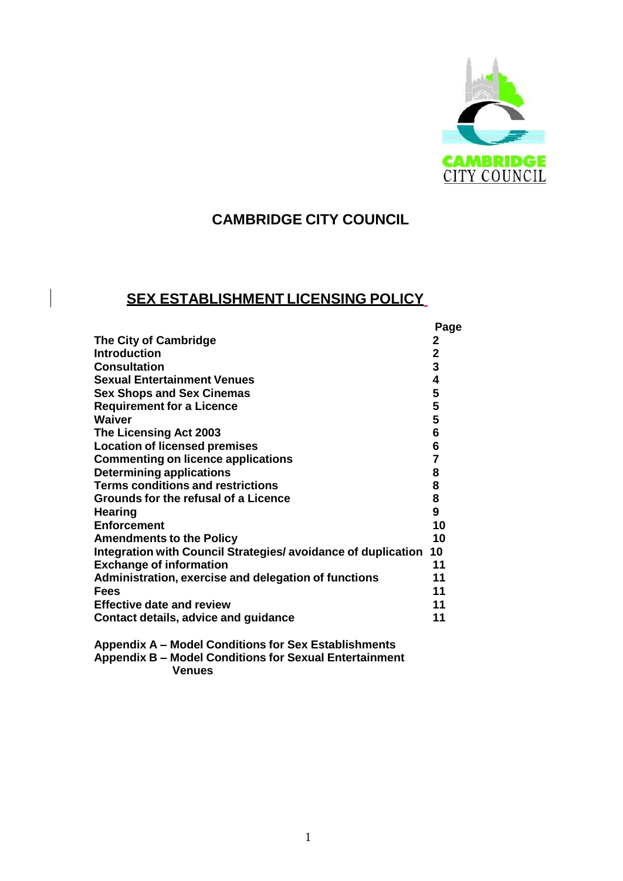

# **CAMBRIDGE CITY COUNCIL**

# **SEX ESTABLISHMENT LICENSING POLICY**

|                                                               | Page           |
|---------------------------------------------------------------|----------------|
| <b>The City of Cambridge</b>                                  | 2              |
| <b>Introduction</b>                                           | $\mathbf{2}$   |
| <b>Consultation</b>                                           | 3              |
| <b>Sexual Entertainment Venues</b>                            | 4              |
| <b>Sex Shops and Sex Cinemas</b>                              | 5              |
| <b>Requirement for a Licence</b>                              | 5              |
| <b>Waiver</b>                                                 | 5              |
| The Licensing Act 2003                                        | 6              |
| <b>Location of licensed premises</b>                          | 6              |
| <b>Commenting on licence applications</b>                     | $\overline{7}$ |
| <b>Determining applications</b>                               | 8              |
| <b>Terms conditions and restrictions</b>                      | 8              |
| Grounds for the refusal of a Licence                          | 8              |
| <b>Hearing</b>                                                | 9              |
| <b>Enforcement</b>                                            | 10             |
| <b>Amendments to the Policy</b>                               | 10             |
| Integration with Council Strategies/ avoidance of duplication | 10             |
| <b>Exchange of information</b>                                | 11             |
| Administration, exercise and delegation of functions          | 11             |
| <b>Fees</b>                                                   | 11             |
| <b>Effective date and review</b>                              | 11             |
| Contact details, advice and guidance                          | 11             |
|                                                               |                |

**Appendix A – Model Conditions for Sex Establishments Appendix B – Model Conditions for Sexual Entertainment Venues**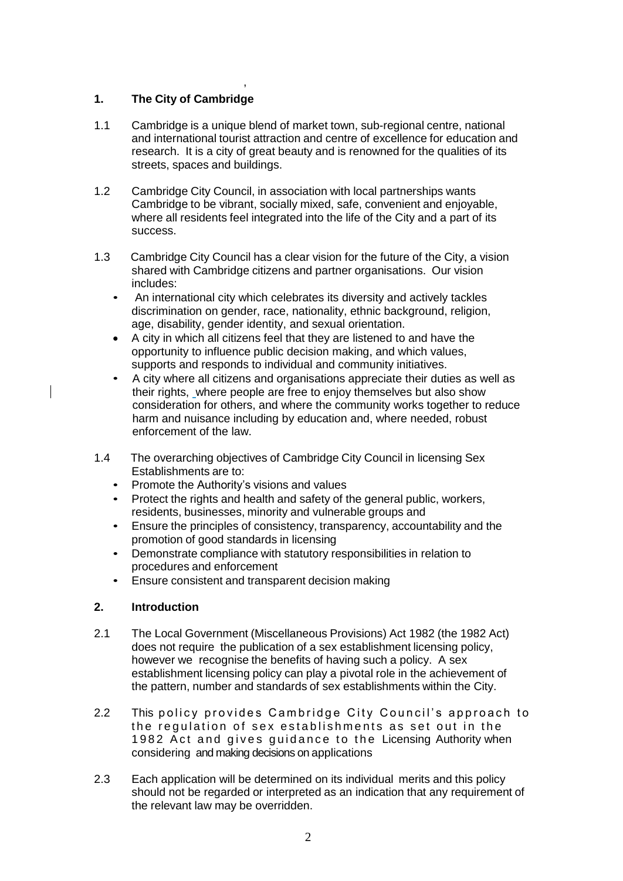## **1. The City of Cambridge**

,

- 1.1 Cambridge is a unique blend of market town, sub-regional centre, national and international tourist attraction and centre of excellence for education and research. It is a city of great beauty and is renowned for the qualities of its streets, spaces and buildings.
- 1.2 Cambridge City Council, in association with local partnerships wants Cambridge to be vibrant, socially mixed, safe, convenient and enjoyable, where all residents feel integrated into the life of the City and a part of its success.
- 1.3 Cambridge City Council has a clear vision for the future of the City, a vision shared with Cambridge citizens and partner organisations. Our vision includes:
	- An international city which celebrates its diversity and actively tackles discrimination on gender, race, nationality, ethnic background, religion, age, disability, gender identity, and sexual orientation.
	- A city in which all citizens feel that they are listened to and have the opportunity to influence public decision making, and which values, supports and responds to individual and community initiatives.
	- A city where all citizens and organisations appreciate their duties as well as their rights, where people are free to enjoy themselves but also show consideration for others, and where the community works together to reduce harm and nuisance including by education and, where needed, robust enforcement of the law.
- 1.4 The overarching objectives of Cambridge City Council in licensing Sex Establishments are to:
	- Promote the Authority's visions and values
	- Protect the rights and health and safety of the general public, workers, residents, businesses, minority and vulnerable groups and
	- Ensure the principles of consistency, transparency, accountability and the promotion of good standards in licensing
	- Demonstrate compliance with statutory responsibilities in relation to procedures and enforcement
	- Ensure consistent and transparent decision making

## **2. Introduction**

- 2.1 The Local Government (Miscellaneous Provisions) Act 1982 (the 1982 Act) does not require the publication of a sex establishment licensing policy, however we recognise the benefits of having such a policy. A sex establishment licensing policy can play a pivotal role in the achievement of the pattern, number and standards of sex establishments within the City.
- 2.2 This policy provides Cambridge City Council's approach to the regulation of sex establishments as set out in the 1982 Act and gives guidance to the Licensing Authority when considering and making decisions on applications
- 2.3 Each application will be determined on its individual merits and this policy should not be regarded or interpreted as an indication that any requirement of the relevant law may be overridden.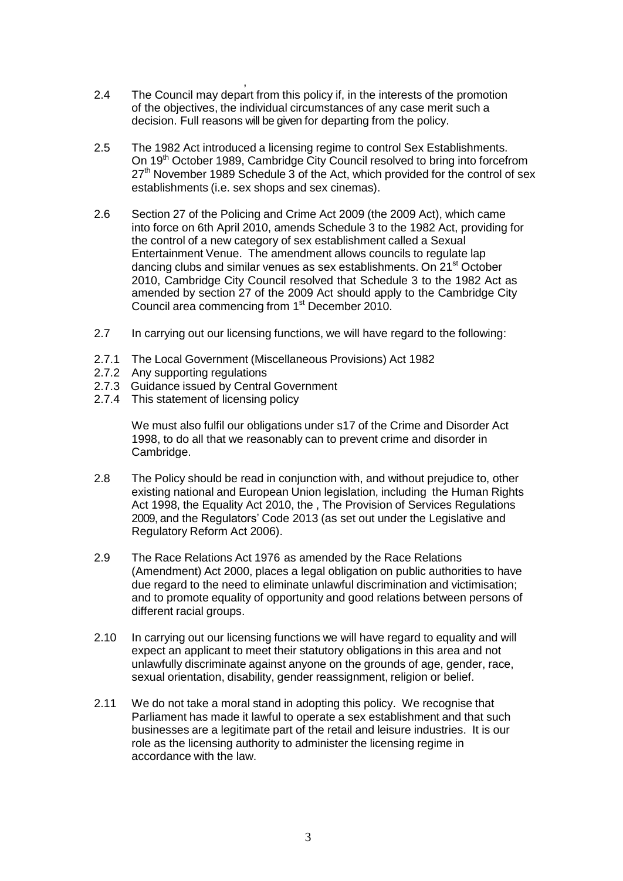- , 2.4 The Council may depart from this policy if, in the interests of the promotion of the objectives, the individual circumstances of any case merit such a decision. Full reasons will be given for departing from the policy.
- 2.5 The 1982 Act introduced a licensing regime to control Sex Establishments. On 19th October 1989, Cambridge City Council resolved to bring into forcefrom  $27<sup>th</sup>$  November 1989 Schedule 3 of the Act, which provided for the control of sex establishments (i.e. sex shops and sex cinemas).
- 2.6 Section 27 of the Policing and Crime Act 2009 (the 2009 Act), which came into force on 6th April 2010, amends Schedule 3 to the 1982 Act, providing for the control of a new category of sex establishment called a Sexual Entertainment Venue. The amendment allows councils to regulate lap dancing clubs and similar venues as sex establishments. On 21<sup>st</sup> October 2010, Cambridge City Council resolved that Schedule 3 to the 1982 Act as amended by section 27 of the 2009 Act should apply to the Cambridge City Council area commencing from 1<sup>st</sup> December 2010.
- 2.7 In carrying out our licensing functions, we will have regard to the following:
- 2.7.1 The Local Government (Miscellaneous Provisions) Act 1982
- 2.7.2 Any supporting regulations
- 2.7.3 Guidance issued by Central Government
- 2.7.4 This statement of licensing policy

We must also fulfil our obligations under s17 of the Crime and Disorder Act 1998, to do all that we reasonably can to prevent crime and disorder in Cambridge.

- 2.8 The Policy should be read in conjunction with, and without prejudice to, other existing national and European Union legislation, including the Human Rights Act 1998, the Equality Act 2010, the , The Provision of Services Regulations 2009, and the Regulators' Code 2013 (as set out under the Legislative and Regulatory Reform Act 2006).
- 2.9 The Race Relations Act 1976 as amended by the Race Relations (Amendment) Act 2000, places a legal obligation on public authorities to have due regard to the need to eliminate unlawful discrimination and victimisation; and to promote equality of opportunity and good relations between persons of different racial groups.
- 2.10 In carrying out our licensing functions we will have regard to equality and will expect an applicant to meet their statutory obligations in this area and not unlawfully discriminate against anyone on the grounds of age, gender, race, sexual orientation, disability, gender reassignment, religion or belief.
- 2.11 We do not take a moral stand in adopting this policy. We recognise that Parliament has made it lawful to operate a sex establishment and that such businesses are a legitimate part of the retail and leisure industries. It is our role as the licensing authority to administer the licensing regime in accordance with the law.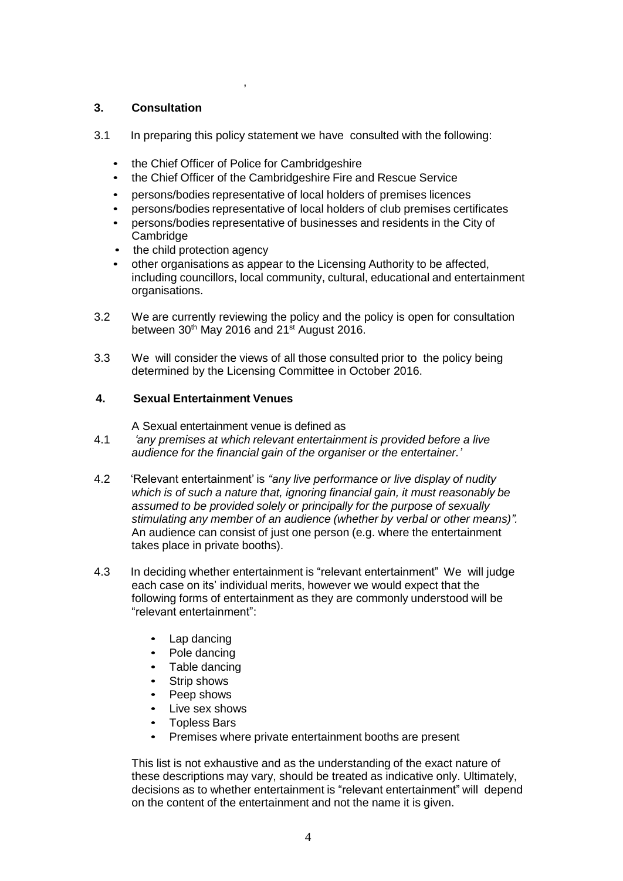## **3. Consultation**

- 3.1 In preparing this policy statement we have consulted with the following:
	- the Chief Officer of Police for Cambridgeshire

,

- the Chief Officer of the Cambridgeshire Fire and Rescue Service
- persons/bodies representative of local holders of premises licences
- persons/bodies representative of local holders of club premises certificates
- persons/bodies representative of businesses and residents in the City of Cambridge
- the child protection agency
- other organisations as appear to the Licensing Authority to be affected, including councillors, local community, cultural, educational and entertainment organisations.
- 3.2 We are currently reviewing the policy and the policy is open for consultation between  $30<sup>th</sup>$  May 2016 and 21<sup>st</sup> August 2016.
- 3.3 We will consider the views of all those consulted prior to the policy being determined by the Licensing Committee in October 2016.

### **4. Sexual Entertainment Venues**

A Sexual entertainment venue is defined as

- 4.1 *'any premises at which relevant entertainment is provided before a live audience for the financial gain of the organiser or the entertainer.'*
- 4.2 'Relevant entertainment' is *"any live performance or live display of nudity which is of such a nature that, ignoring financial gain, it must reasonably be assumed to be provided solely or principally for the purpose of sexually stimulating any member of an audience (whether by verbal or other means)".*  An audience can consist of just one person (e.g. where the entertainment takes place in private booths).
- 4.3 In deciding whether entertainment is "relevant entertainment" We will judge each case on its' individual merits, however we would expect that the following forms of entertainment as they are commonly understood will be "relevant entertainment":
	- Lap dancing
	- Pole dancing
	- Table dancing
	- Strip shows
	- Peep shows
	- Live sex shows
	- Topless Bars
	- Premises where private entertainment booths are present

This list is not exhaustive and as the understanding of the exact nature of these descriptions may vary, should be treated as indicative only. Ultimately, decisions as to whether entertainment is "relevant entertainment" will depend on the content of the entertainment and not the name it is given.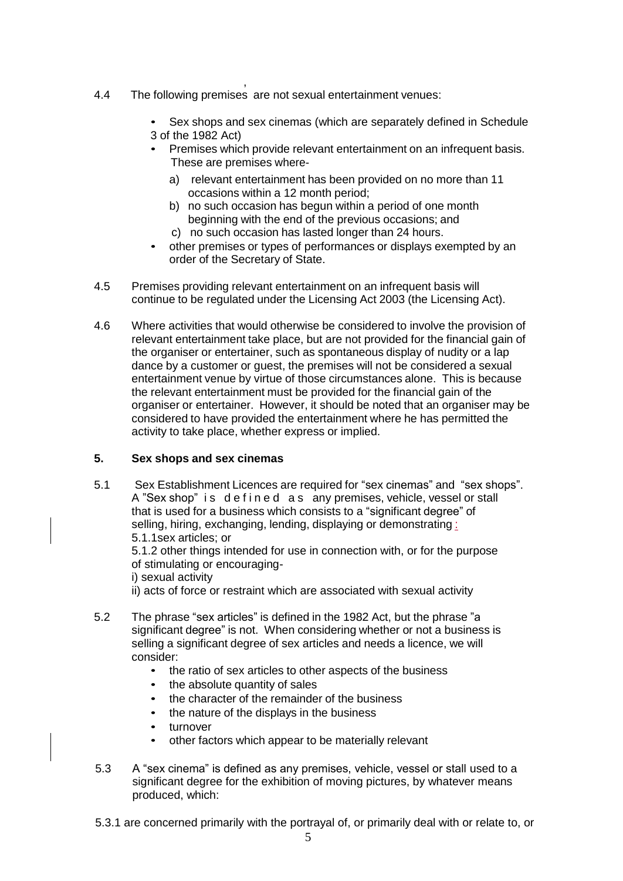- , 4.4 The following premises are not sexual entertainment venues:
	- Sex shops and sex cinemas (which are separately defined in Schedule 3 of the 1982 Act)
	- Premises which provide relevant entertainment on an infrequent basis. These are premises where
		- a) relevant entertainment has been provided on no more than 11 occasions within a 12 month period;
		- b) no such occasion has begun within a period of one month beginning with the end of the previous occasions; and
		- c) no such occasion has lasted longer than 24 hours.
	- other premises or types of performances or displays exempted by an order of the Secretary of State.
- 4.5 Premises providing relevant entertainment on an infrequent basis will continue to be regulated under the Licensing Act 2003 (the Licensing Act).
- 4.6 Where activities that would otherwise be considered to involve the provision of relevant entertainment take place, but are not provided for the financial gain of the organiser or entertainer, such as spontaneous display of nudity or a lap dance by a customer or guest, the premises will not be considered a sexual entertainment venue by virtue of those circumstances alone. This is because the relevant entertainment must be provided for the financial gain of the organiser or entertainer. However, it should be noted that an organiser may be considered to have provided the entertainment where he has permitted the activity to take place, whether express or implied.

### **5. Sex shops and sex cinemas**

5.1 Sex Establishment Licences are required for "sex cinemas" and "sex shops". A "Sex shop" is defined as any premises, vehicle, vessel or stall that is used for a business which consists to a "significant degree" of selling, hiring, exchanging, lending, displaying or demonstrating : 5.1.1sex articles; or 5.1.2 other things intended for use in connection with, or for the purpose

of stimulating or encouraging-

- i) sexual activity
- ii) acts of force or restraint which are associated with sexual activity
- 5.2 The phrase "sex articles" is defined in the 1982 Act, but the phrase "a significant degree" is not. When considering whether or not a business is selling a significant degree of sex articles and needs a licence, we will consider:
	- the ratio of sex articles to other aspects of the business
	- the absolute quantity of sales
	- the character of the remainder of the business
	- the nature of the displays in the business
	- turnover
	- other factors which appear to be materially relevant
- 5.3 A "sex cinema" is defined as any premises, vehicle, vessel or stall used to a significant degree for the exhibition of moving pictures, by whatever means produced, which:
- 5.3.1 are concerned primarily with the portrayal of, or primarily deal with or relate to, or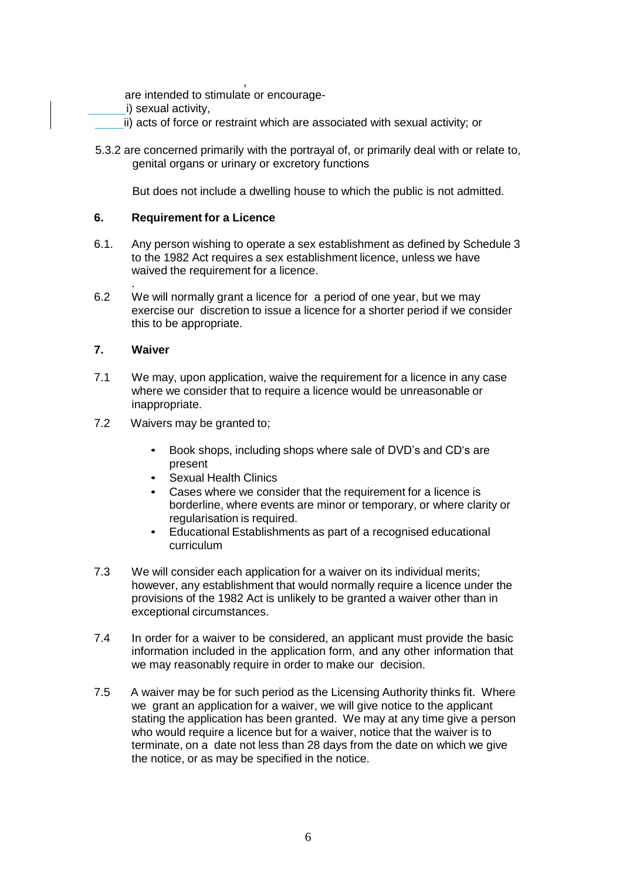, are intended to stimulate or encourage-

- i) sexual activity,
- ii) acts of force or restraint which are associated with sexual activity; or
- 5.3.2 are concerned primarily with the portrayal of, or primarily deal with or relate to, genital organs or urinary or excretory functions

But does not include a dwelling house to which the public is not admitted.

#### **6. Requirement for a Licence**

- 6.1. Any person wishing to operate a sex establishment as defined by Schedule 3 to the 1982 Act requires a sex establishment licence, unless we have waived the requirement for a licence.
- . 6.2 We will normally grant a licence for a period of one year, but we may exercise our discretion to issue a licence for a shorter period if we consider this to be appropriate.

#### **7. Waiver**

- 7.1 We may, upon application, waive the requirement for a licence in any case where we consider that to require a licence would be unreasonable or inappropriate.
- 7.2 Waivers may be granted to;
	- Book shops, including shops where sale of DVD's and CD's are present
	- Sexual Health Clinics
	- Cases where we consider that the requirement for a licence is borderline, where events are minor or temporary, or where clarity or regularisation is required.
	- Educational Establishments as part of a recognised educational curriculum
- 7.3 We will consider each application for a waiver on its individual merits; however, any establishment that would normally require a licence under the provisions of the 1982 Act is unlikely to be granted a waiver other than in exceptional circumstances.
- 7.4 In order for a waiver to be considered, an applicant must provide the basic information included in the application form, and any other information that we may reasonably require in order to make our decision.
- 7.5 A waiver may be for such period as the Licensing Authority thinks fit. Where we grant an application for a waiver, we will give notice to the applicant stating the application has been granted. We may at any time give a person who would require a licence but for a waiver, notice that the waiver is to terminate, on a date not less than 28 days from the date on which we give the notice, or as may be specified in the notice.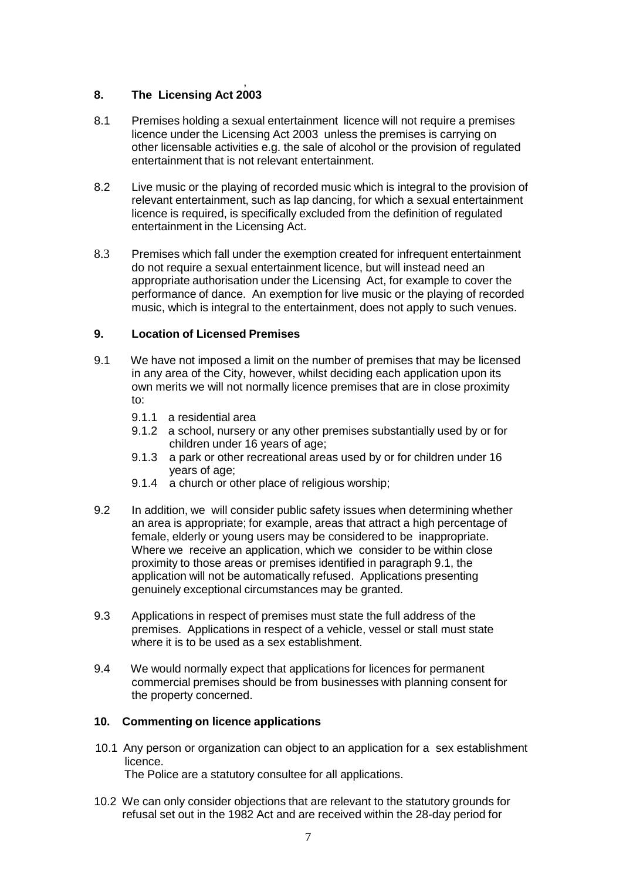#### , **8. The Licensing Act 2003**

- 8.1 Premises holding a sexual entertainment licence will not require a premises licence under the Licensing Act 2003 unless the premises is carrying on other licensable activities e.g. the sale of alcohol or the provision of regulated entertainment that is not relevant entertainment.
- 8.2 Live music or the playing of recorded music which is integral to the provision of relevant entertainment, such as lap dancing, for which a sexual entertainment licence is required, is specifically excluded from the definition of regulated entertainment in the Licensing Act.
- 8.3 Premises which fall under the exemption created for infrequent entertainment do not require a sexual entertainment licence, but will instead need an appropriate authorisation under the Licensing Act, for example to cover the performance of dance. An exemption for live music or the playing of recorded music, which is integral to the entertainment, does not apply to such venues.

## **9. Location of Licensed Premises**

- 9.1 We have not imposed a limit on the number of premises that may be licensed in any area of the City, however, whilst deciding each application upon its own merits we will not normally licence premises that are in close proximity to:
	- 9.1.1 a residential area
	- 9.1.2 a school, nursery or any other premises substantially used by or for children under 16 years of age;
	- 9.1.3 a park or other recreational areas used by or for children under 16 years of age;
	- 9.1.4 a church or other place of religious worship;
- 9.2 In addition, we will consider public safety issues when determining whether an area is appropriate; for example, areas that attract a high percentage of female, elderly or young users may be considered to be inappropriate. Where we receive an application, which we consider to be within close proximity to those areas or premises identified in paragraph 9.1, the application will not be automatically refused. Applications presenting genuinely exceptional circumstances may be granted.
- 9.3 Applications in respect of premises must state the full address of the premises. Applications in respect of a vehicle, vessel or stall must state where it is to be used as a sex establishment.
- 9.4 We would normally expect that applications for licences for permanent commercial premises should be from businesses with planning consent for the property concerned.

#### **10. Commenting on licence applications**

- 10.1 Any person or organization can object to an application for a sex establishment licence. The Police are a statutory consultee for all applications.
- 10.2 We can only consider objections that are relevant to the statutory grounds for refusal set out in the 1982 Act and are received within the 28-day period for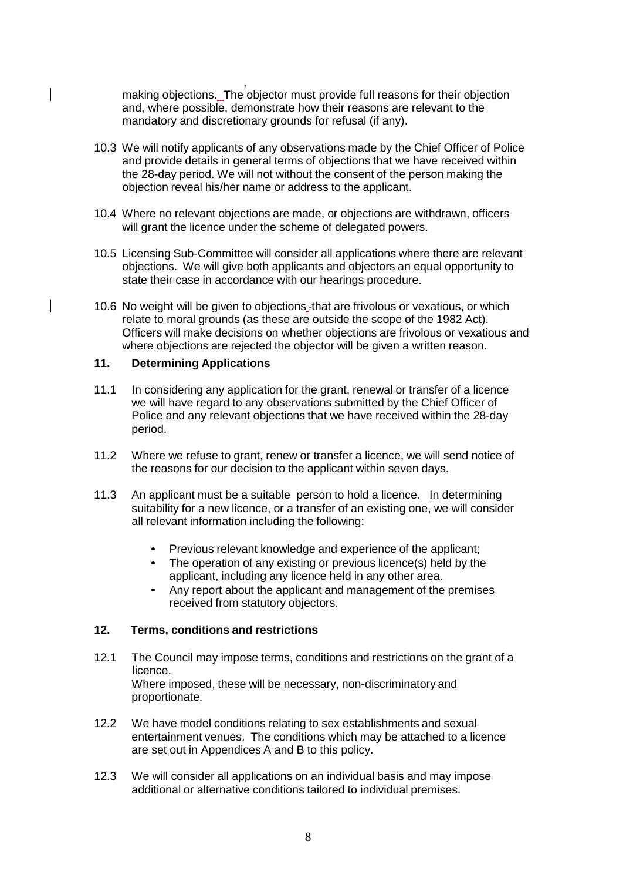, making objections. The objector must provide full reasons for their objection and, where possible, demonstrate how their reasons are relevant to the mandatory and discretionary grounds for refusal (if any).

- 10.3 We will notify applicants of any observations made by the Chief Officer of Police and provide details in general terms of objections that we have received within the 28-day period. We will not without the consent of the person making the objection reveal his/her name or address to the applicant.
- 10.4 Where no relevant objections are made, or objections are withdrawn, officers will grant the licence under the scheme of delegated powers.
- 10.5 Licensing Sub-Committee will consider all applications where there are relevant objections. We will give both applicants and objectors an equal opportunity to state their case in accordance with our hearings procedure.
- 10.6 No weight will be given to objections that are frivolous or vexatious, or which relate to moral grounds (as these are outside the scope of the 1982 Act). Officers will make decisions on whether objections are frivolous or vexatious and where objections are rejected the objector will be given a written reason.

### **11. Determining Applications**

- 11.1 In considering any application for the grant, renewal or transfer of a licence we will have regard to any observations submitted by the Chief Officer of Police and any relevant objections that we have received within the 28-day period.
- 11.2 Where we refuse to grant, renew or transfer a licence, we will send notice of the reasons for our decision to the applicant within seven days.
- 11.3 An applicant must be a suitable person to hold a licence. In determining suitability for a new licence, or a transfer of an existing one, we will consider all relevant information including the following:
	- Previous relevant knowledge and experience of the applicant;
	- The operation of any existing or previous licence(s) held by the applicant, including any licence held in any other area.
	- Any report about the applicant and management of the premises received from statutory objectors.

#### **12. Terms, conditions and restrictions**

- 12.1 The Council may impose terms, conditions and restrictions on the grant of a licence. Where imposed, these will be necessary, non-discriminatory and proportionate.
- 12.2 We have model conditions relating to sex establishments and sexual entertainment venues. The conditions which may be attached to a licence are set out in Appendices A and B to this policy.
- 12.3 We will consider all applications on an individual basis and may impose additional or alternative conditions tailored to individual premises.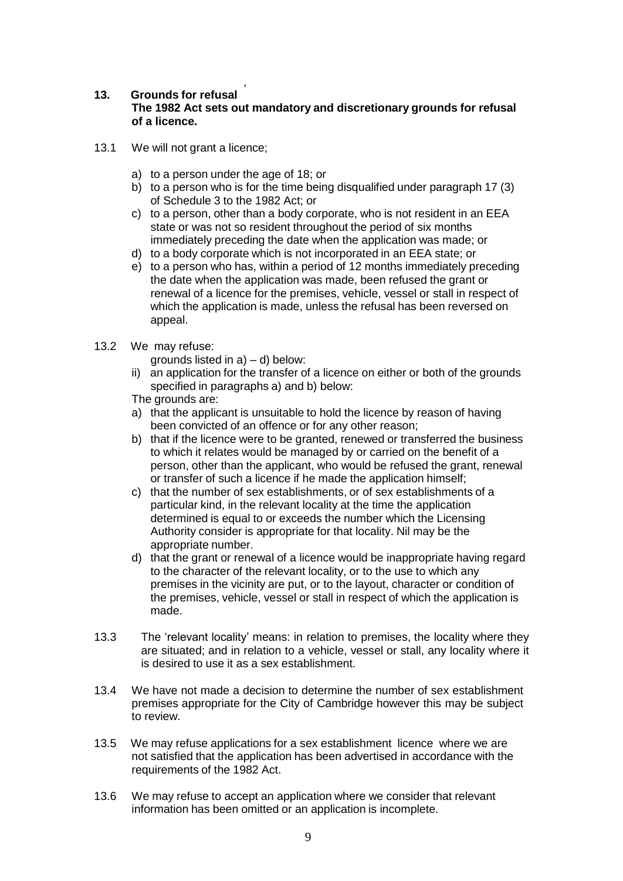#### , **13. Grounds for refusal The 1982 Act sets out mandatory and discretionary grounds for refusal of a licence.**

- 13.1 We will not grant a licence;
	- a) to a person under the age of 18; or
	- b) to a person who is for the time being disqualified under paragraph 17 (3) of Schedule 3 to the 1982 Act; or
	- c) to a person, other than a body corporate, who is not resident in an EEA state or was not so resident throughout the period of six months immediately preceding the date when the application was made; or
	- d) to a body corporate which is not incorporated in an EEA state; or
	- e) to a person who has, within a period of 12 months immediately preceding the date when the application was made, been refused the grant or renewal of a licence for the premises, vehicle, vessel or stall in respect of which the application is made, unless the refusal has been reversed on appeal.
- 13.2 We may refuse:

grounds listed in  $a$ ) – d) below:

ii) an application for the transfer of a licence on either or both of the grounds specified in paragraphs a) and b) below:

The grounds are:

- a) that the applicant is unsuitable to hold the licence by reason of having been convicted of an offence or for any other reason;
- b) that if the licence were to be granted, renewed or transferred the business to which it relates would be managed by or carried on the benefit of a person, other than the applicant, who would be refused the grant, renewal or transfer of such a licence if he made the application himself;
- c) that the number of sex establishments, or of sex establishments of a particular kind, in the relevant locality at the time the application determined is equal to or exceeds the number which the Licensing Authority consider is appropriate for that locality. Nil may be the appropriate number.
- d) that the grant or renewal of a licence would be inappropriate having regard to the character of the relevant locality, or to the use to which any premises in the vicinity are put, or to the layout, character or condition of the premises, vehicle, vessel or stall in respect of which the application is made.
- 13.3 The 'relevant locality' means: in relation to premises, the locality where they are situated; and in relation to a vehicle, vessel or stall, any locality where it is desired to use it as a sex establishment.
- 13.4 We have not made a decision to determine the number of sex establishment premises appropriate for the City of Cambridge however this may be subject to review.
- 13.5 We may refuse applications for a sex establishment licence where we are not satisfied that the application has been advertised in accordance with the requirements of the 1982 Act.
- 13.6 We may refuse to accept an application where we consider that relevant information has been omitted or an application is incomplete.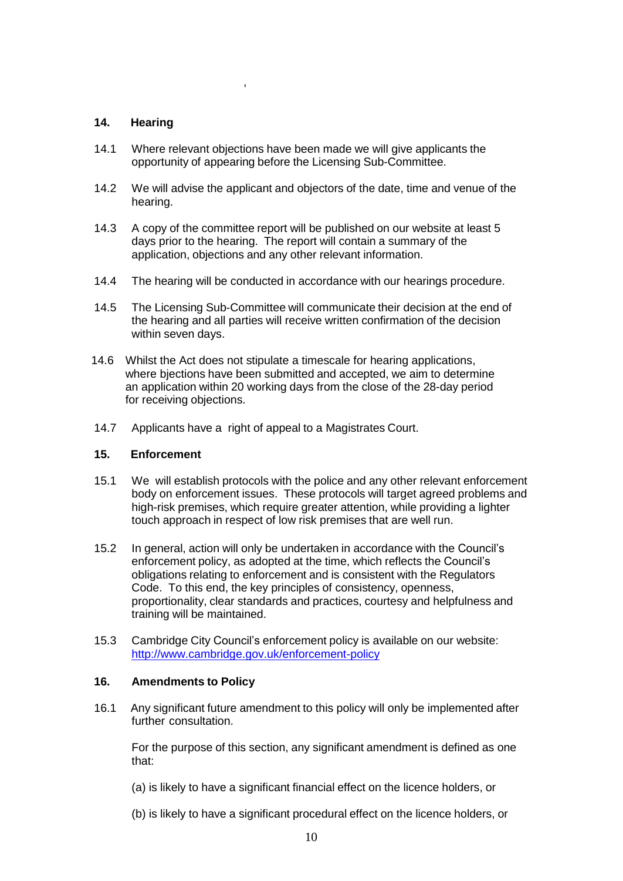#### **14. Hearing**

14.1 Where relevant objections have been made we will give applicants the opportunity of appearing before the Licensing Sub-Committee.

,

- 14.2 We will advise the applicant and objectors of the date, time and venue of the hearing.
- 14.3 A copy of the committee report will be published on our website at least 5 days prior to the hearing. The report will contain a summary of the application, objections and any other relevant information.
- 14.4 The hearing will be conducted in accordance with our hearings procedure.
- 14.5 The Licensing Sub-Committee will communicate their decision at the end of the hearing and all parties will receive written confirmation of the decision within seven days.
- 14.6 Whilst the Act does not stipulate a timescale for hearing applications, where bjections have been submitted and accepted, we aim to determine an application within 20 working days from the close of the 28-day period for receiving objections.
- 14.7 Applicants have a right of appeal to a Magistrates Court.

#### **15. Enforcement**

- 15.1 We will establish protocols with the police and any other relevant enforcement body on enforcement issues. These protocols will target agreed problems and high-risk premises, which require greater attention, while providing a lighter touch approach in respect of low risk premises that are well run.
- 15.2 In general, action will only be undertaken in accordance with the Council's enforcement policy, as adopted at the time, which reflects the Council's obligations relating to enforcement and is consistent with the Regulators Code. To this end, the key principles of consistency, openness, proportionality, clear standards and practices, courtesy and helpfulness and training will be maintained.
- 15.3 Cambridge City Council's enforcement policy is available on our website: [http://www.cambridge.gov.uk/enforcement-policy](https://www.cambridge.gov.uk/enforcement-policy)

### **16. Amendments to Policy**

16.1 Any significant future amendment to this policy will only be implemented after further consultation.

For the purpose of this section, any significant amendment is defined as one that:

- (a) is likely to have a significant financial effect on the licence holders, or
- (b) is likely to have a significant procedural effect on the licence holders, or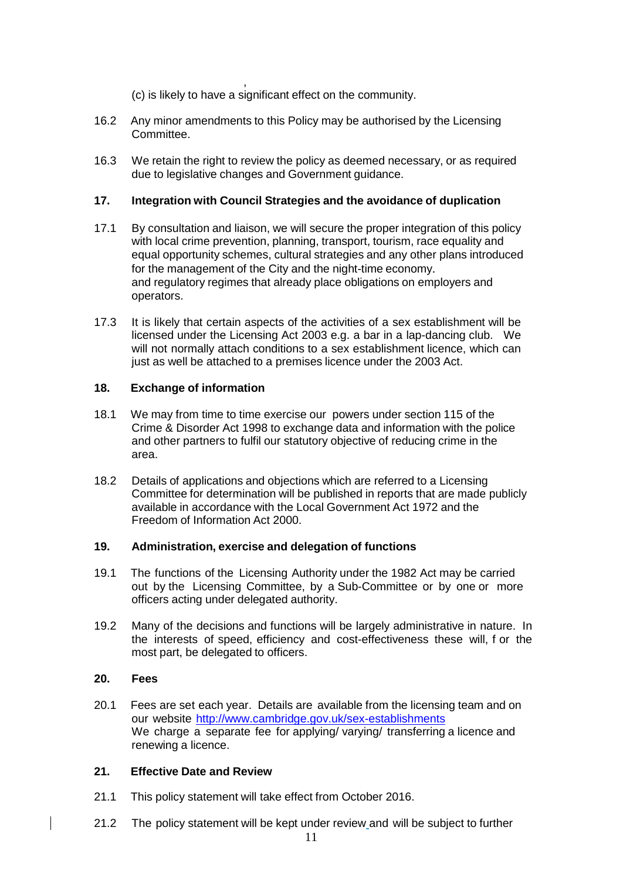, (c) is likely to have a significant effect on the community.

- 16.2 Any minor amendments to this Policy may be authorised by the Licensing Committee.
- 16.3 We retain the right to review the policy as deemed necessary, or as required due to legislative changes and Government guidance.

### **17. Integration with Council Strategies and the avoidance of duplication**

- 17.1 By consultation and liaison, we will secure the proper integration of this policy with local crime prevention, planning, transport, tourism, race equality and equal opportunity schemes, cultural strategies and any other plans introduced for the management of the City and the night-time economy. and regulatory regimes that already place obligations on employers and operators.
- 17.3 It is likely that certain aspects of the activities of a sex establishment will be licensed under the Licensing Act 2003 e.g. a bar in a lap-dancing club. We will not normally attach conditions to a sex establishment licence, which can just as well be attached to a premises licence under the 2003 Act.

#### **18. Exchange of information**

- 18.1 We may from time to time exercise our powers under section 115 of the Crime & Disorder Act 1998 to exchange data and information with the police and other partners to fulfil our statutory objective of reducing crime in the area.
- 18.2 Details of applications and objections which are referred to a Licensing Committee for determination will be published in reports that are made publicly available in accordance with the Local Government Act 1972 and the Freedom of Information Act 2000.

#### **19. Administration, exercise and delegation of functions**

- 19.1 The functions of the Licensing Authority under the 1982 Act may be carried out by the Licensing Committee, by a Sub-Committee or by one or more officers acting under delegated authority.
- 19.2 Many of the decisions and functions will be largely administrative in nature. In the interests of speed, efficiency and cost-effectiveness these will, f or the most part, be delegated to officers.

#### **20. Fees**

20.1 Fees are set each year. Details are available from the licensing team and on our website [http://www.cambridge.gov.uk/sex-establishments](https://www.cambridge.gov.uk/sex-establishments) We charge a separate fee for applying/ varying/ transferring a licence and renewing a licence.

#### **21. Effective Date and Review**

- 21.1 This policy statement will take effect from October 2016.
- 21.2 The policy statement will be kept under review and will be subject to further